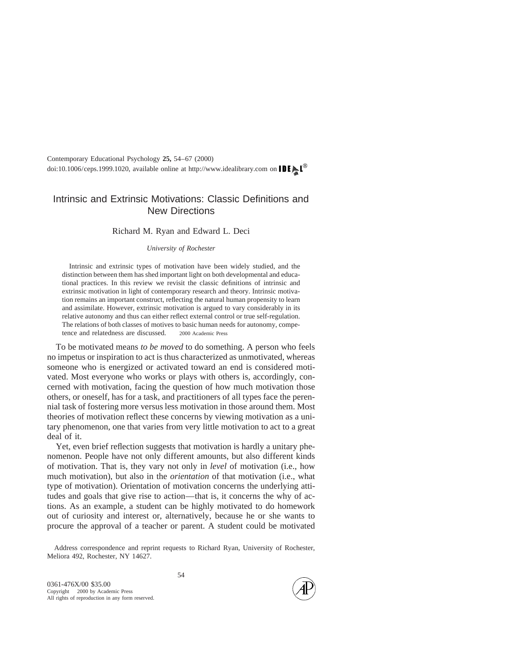# Intrinsic and Extrinsic Motivations: Classic Definitions and New Directions

Richard M. Ryan and Edward L. Deci

*University of Rochester*

Intrinsic and extrinsic types of motivation have been widely studied, and the distinction between them has shed important light on both developmental and educational practices. In this review we revisit the classic definitions of intrinsic and extrinsic motivation in light of contemporary research and theory. Intrinsic motivation remains an important construct, reflecting the natural human propensity to learn and assimilate. However, extrinsic motivation is argued to vary considerably in its relative autonomy and thus can either reflect external control or true self-regulation. The relations of both classes of motives to basic human needs for autonomy, competence and relatedness are discussed.  $\circ$  2000 Academic Press

To be motivated means *to be moved* to do something. A person who feels no impetus or inspiration to act is thus characterized as unmotivated, whereas someone who is energized or activated toward an end is considered motivated. Most everyone who works or plays with others is, accordingly, concerned with motivation, facing the question of how much motivation those others, or oneself, has for a task, and practitioners of all types face the perennial task of fostering more versus less motivation in those around them. Most theories of motivation reflect these concerns by viewing motivation as a unitary phenomenon, one that varies from very little motivation to act to a great deal of it.

Yet, even brief reflection suggests that motivation is hardly a unitary phenomenon. People have not only different amounts, but also different kinds of motivation. That is, they vary not only in *level* of motivation (i.e., how much motivation), but also in the *orientation* of that motivation (i.e., what type of motivation). Orientation of motivation concerns the underlying attitudes and goals that give rise to action—that is, it concerns the why of actions. As an example, a student can be highly motivated to do homework out of curiosity and interest or, alternatively, because he or she wants to procure the approval of a teacher or parent. A student could be motivated

Address correspondence and reprint requests to Richard Ryan, University of Rochester, Meliora 492, Rochester, NY 14627.

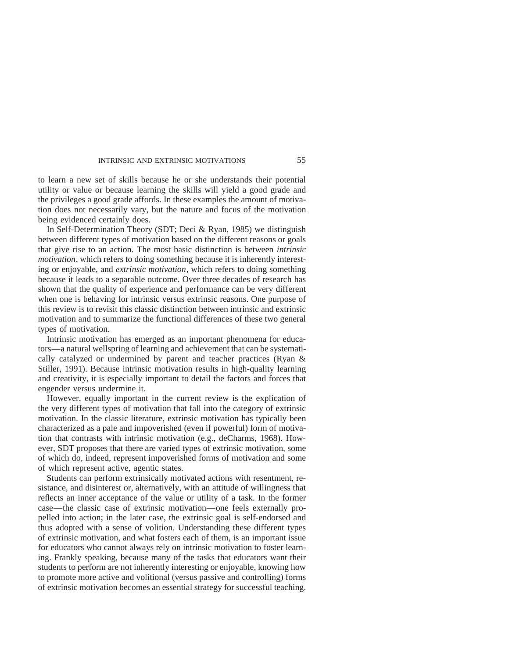to learn a new set of skills because he or she understands their potential utility or value or because learning the skills will yield a good grade and the privileges a good grade affords. In these examples the amount of motivation does not necessarily vary, but the nature and focus of the motivation being evidenced certainly does.

In Self-Determination Theory (SDT; Deci & Ryan, 1985) we distinguish between different types of motivation based on the different reasons or goals that give rise to an action. The most basic distinction is between *intrinsic motivation*, which refers to doing something because it is inherently interesting or enjoyable, and *extrinsic motivation*, which refers to doing something because it leads to a separable outcome. Over three decades of research has shown that the quality of experience and performance can be very different when one is behaving for intrinsic versus extrinsic reasons. One purpose of this review is to revisit this classic distinction between intrinsic and extrinsic motivation and to summarize the functional differences of these two general types of motivation.

Intrinsic motivation has emerged as an important phenomena for educators—a natural wellspring of learning and achievement that can be systematically catalyzed or undermined by parent and teacher practices (Ryan & Stiller, 1991). Because intrinsic motivation results in high-quality learning and creativity, it is especially important to detail the factors and forces that engender versus undermine it.

However, equally important in the current review is the explication of the very different types of motivation that fall into the category of extrinsic motivation. In the classic literature, extrinsic motivation has typically been characterized as a pale and impoverished (even if powerful) form of motivation that contrasts with intrinsic motivation (e.g., deCharms, 1968). However, SDT proposes that there are varied types of extrinsic motivation, some of which do, indeed, represent impoverished forms of motivation and some of which represent active, agentic states.

Students can perform extrinsically motivated actions with resentment, resistance, and disinterest or, alternatively, with an attitude of willingness that reflects an inner acceptance of the value or utility of a task. In the former case—the classic case of extrinsic motivation—one feels externally propelled into action; in the later case, the extrinsic goal is self-endorsed and thus adopted with a sense of volition. Understanding these different types of extrinsic motivation, and what fosters each of them, is an important issue for educators who cannot always rely on intrinsic motivation to foster learning. Frankly speaking, because many of the tasks that educators want their students to perform are not inherently interesting or enjoyable, knowing how to promote more active and volitional (versus passive and controlling) forms of extrinsic motivation becomes an essential strategy for successful teaching.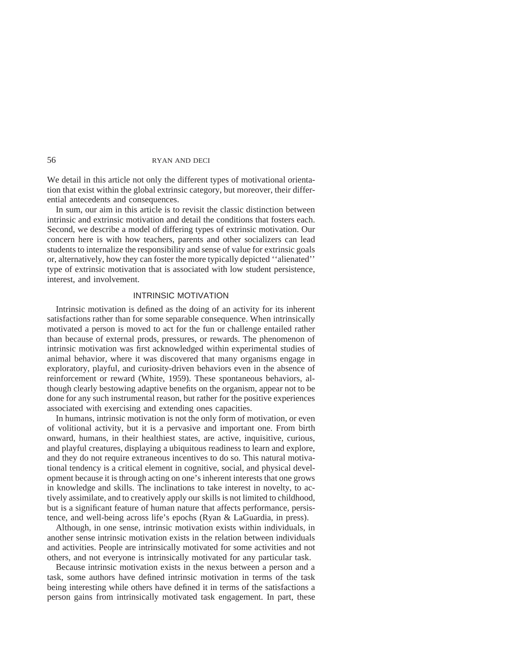We detail in this article not only the different types of motivational orientation that exist within the global extrinsic category, but moreover, their differential antecedents and consequences.

In sum, our aim in this article is to revisit the classic distinction between intrinsic and extrinsic motivation and detail the conditions that fosters each. Second, we describe a model of differing types of extrinsic motivation. Our concern here is with how teachers, parents and other socializers can lead students to internalize the responsibility and sense of value for extrinsic goals or, alternatively, how they can foster the more typically depicted ''alienated'' type of extrinsic motivation that is associated with low student persistence, interest, and involvement.

#### INTRINSIC MOTIVATION

Intrinsic motivation is defined as the doing of an activity for its inherent satisfactions rather than for some separable consequence. When intrinsically motivated a person is moved to act for the fun or challenge entailed rather than because of external prods, pressures, or rewards. The phenomenon of intrinsic motivation was first acknowledged within experimental studies of animal behavior, where it was discovered that many organisms engage in exploratory, playful, and curiosity-driven behaviors even in the absence of reinforcement or reward (White, 1959). These spontaneous behaviors, although clearly bestowing adaptive benefits on the organism, appear not to be done for any such instrumental reason, but rather for the positive experiences associated with exercising and extending ones capacities.

In humans, intrinsic motivation is not the only form of motivation, or even of volitional activity, but it is a pervasive and important one. From birth onward, humans, in their healthiest states, are active, inquisitive, curious, and playful creatures, displaying a ubiquitous readiness to learn and explore, and they do not require extraneous incentives to do so. This natural motivational tendency is a critical element in cognitive, social, and physical development because it is through acting on one's inherent interests that one grows in knowledge and skills. The inclinations to take interest in novelty, to actively assimilate, and to creatively apply our skills is not limited to childhood, but is a significant feature of human nature that affects performance, persistence, and well-being across life's epochs (Ryan & LaGuardia, in press).

Although, in one sense, intrinsic motivation exists within individuals, in another sense intrinsic motivation exists in the relation between individuals and activities. People are intrinsically motivated for some activities and not others, and not everyone is intrinsically motivated for any particular task.

Because intrinsic motivation exists in the nexus between a person and a task, some authors have defined intrinsic motivation in terms of the task being interesting while others have defined it in terms of the satisfactions a person gains from intrinsically motivated task engagement. In part, these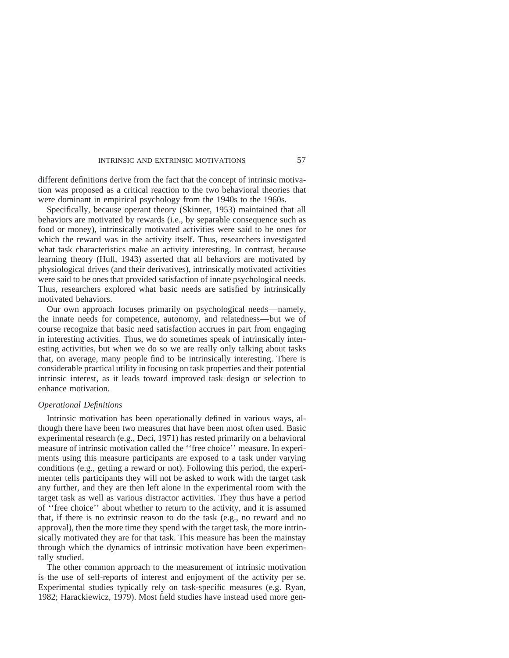different definitions derive from the fact that the concept of intrinsic motivation was proposed as a critical reaction to the two behavioral theories that were dominant in empirical psychology from the 1940s to the 1960s.

Specifically, because operant theory (Skinner, 1953) maintained that all behaviors are motivated by rewards (i.e., by separable consequence such as food or money), intrinsically motivated activities were said to be ones for which the reward was in the activity itself. Thus, researchers investigated what task characteristics make an activity interesting. In contrast, because learning theory (Hull, 1943) asserted that all behaviors are motivated by physiological drives (and their derivatives), intrinsically motivated activities were said to be ones that provided satisfaction of innate psychological needs. Thus, researchers explored what basic needs are satisfied by intrinsically motivated behaviors.

Our own approach focuses primarily on psychological needs—namely, the innate needs for competence, autonomy, and relatedness—but we of course recognize that basic need satisfaction accrues in part from engaging in interesting activities. Thus, we do sometimes speak of intrinsically interesting activities, but when we do so we are really only talking about tasks that, on average, many people find to be intrinsically interesting. There is considerable practical utility in focusing on task properties and their potential intrinsic interest, as it leads toward improved task design or selection to enhance motivation.

### *Operational Definitions*

Intrinsic motivation has been operationally defined in various ways, although there have been two measures that have been most often used. Basic experimental research (e.g., Deci, 1971) has rested primarily on a behavioral measure of intrinsic motivation called the ''free choice'' measure. In experiments using this measure participants are exposed to a task under varying conditions (e.g., getting a reward or not). Following this period, the experimenter tells participants they will not be asked to work with the target task any further, and they are then left alone in the experimental room with the target task as well as various distractor activities. They thus have a period of ''free choice'' about whether to return to the activity, and it is assumed that, if there is no extrinsic reason to do the task (e.g., no reward and no approval), then the more time they spend with the target task, the more intrinsically motivated they are for that task. This measure has been the mainstay through which the dynamics of intrinsic motivation have been experimentally studied.

The other common approach to the measurement of intrinsic motivation is the use of self-reports of interest and enjoyment of the activity per se. Experimental studies typically rely on task-specific measures (e.g. Ryan, 1982; Harackiewicz, 1979). Most field studies have instead used more gen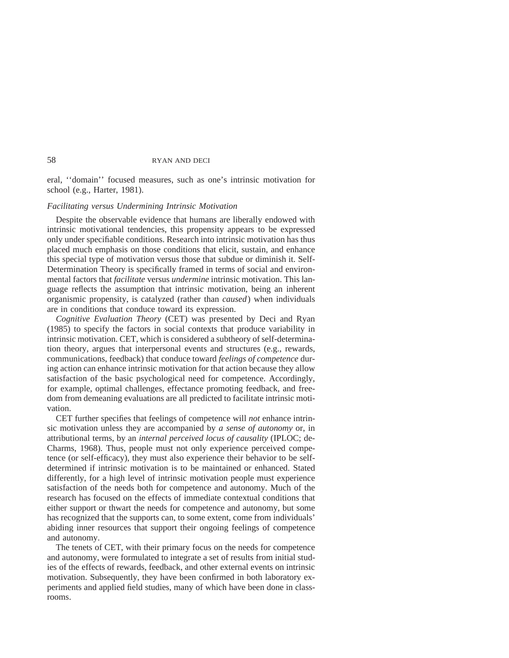eral, ''domain'' focused measures, such as one's intrinsic motivation for school (e.g., Harter, 1981).

## *Facilitating versus Undermining Intrinsic Motivation*

Despite the observable evidence that humans are liberally endowed with intrinsic motivational tendencies, this propensity appears to be expressed only under specifiable conditions. Research into intrinsic motivation has thus placed much emphasis on those conditions that elicit, sustain, and enhance this special type of motivation versus those that subdue or diminish it. Self-Determination Theory is specifically framed in terms of social and environmental factors that *facilitate* versus *undermine* intrinsic motivation. This language reflects the assumption that intrinsic motivation, being an inherent organismic propensity, is catalyzed (rather than *caused*) when individuals are in conditions that conduce toward its expression.

*Cognitive Evaluation Theory* (CET) was presented by Deci and Ryan (1985) to specify the factors in social contexts that produce variability in intrinsic motivation. CET, which is considered a subtheory of self-determination theory, argues that interpersonal events and structures (e.g., rewards, communications, feedback) that conduce toward *feelings of competence* during action can enhance intrinsic motivation for that action because they allow satisfaction of the basic psychological need for competence. Accordingly, for example, optimal challenges, effectance promoting feedback, and freedom from demeaning evaluations are all predicted to facilitate intrinsic motivation.

CET further specifies that feelings of competence will *not* enhance intrinsic motivation unless they are accompanied by *a sense of autonomy* or, in attributional terms, by an *internal perceived locus of causality* (IPLOC; de-Charms, 1968). Thus, people must not only experience perceived competence (or self-efficacy), they must also experience their behavior to be selfdetermined if intrinsic motivation is to be maintained or enhanced. Stated differently, for a high level of intrinsic motivation people must experience satisfaction of the needs both for competence and autonomy. Much of the research has focused on the effects of immediate contextual conditions that either support or thwart the needs for competence and autonomy, but some has recognized that the supports can, to some extent, come from individuals' abiding inner resources that support their ongoing feelings of competence and autonomy.

The tenets of CET, with their primary focus on the needs for competence and autonomy, were formulated to integrate a set of results from initial studies of the effects of rewards, feedback, and other external events on intrinsic motivation. Subsequently, they have been confirmed in both laboratory experiments and applied field studies, many of which have been done in classrooms.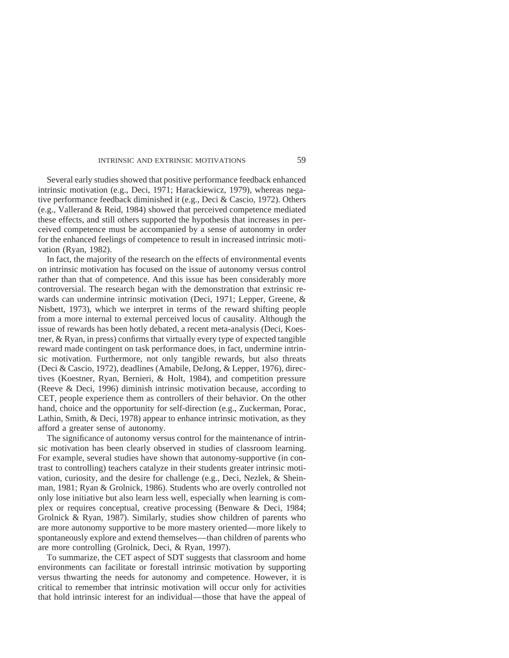Several early studies showed that positive performance feedback enhanced intrinsic motivation (e.g., Deci, 1971; Harackiewicz, 1979), whereas negative performance feedback diminished it (e.g., Deci & Cascio, 1972). Others (e.g., Vallerand & Reid, 1984) showed that perceived competence mediated these effects, and still others supported the hypothesis that increases in perceived competence must be accompanied by a sense of autonomy in order for the enhanced feelings of competence to result in increased intrinsic motivation (Ryan, 1982).

In fact, the majority of the research on the effects of environmental events on intrinsic motivation has focused on the issue of autonomy versus control rather than that of competence. And this issue has been considerably more controversial. The research began with the demonstration that extrinsic rewards can undermine intrinsic motivation (Deci, 1971; Lepper, Greene, & Nisbett, 1973), which we interpret in terms of the reward shifting people from a more internal to external perceived locus of causality. Although the issue of rewards has been hotly debated, a recent meta-analysis (Deci, Koestner, & Ryan, in press) confirms that virtually every type of expected tangible reward made contingent on task performance does, in fact, undermine intrinsic motivation. Furthermore, not only tangible rewards, but also threats (Deci & Cascio, 1972), deadlines (Amabile, DeJong, & Lepper, 1976), directives (Koestner, Ryan, Bernieri, & Holt, 1984), and competition pressure (Reeve & Deci, 1996) diminish intrinsic motivation because, according to CET, people experience them as controllers of their behavior. On the other hand, choice and the opportunity for self-direction (e.g., Zuckerman, Porac, Lathin, Smith, & Deci, 1978) appear to enhance intrinsic motivation, as they afford a greater sense of autonomy.

The significance of autonomy versus control for the maintenance of intrinsic motivation has been clearly observed in studies of classroom learning. For example, several studies have shown that autonomy-supportive (in contrast to controlling) teachers catalyze in their students greater intrinsic motivation, curiosity, and the desire for challenge (e.g., Deci, Nezlek, & Sheinman, 1981; Ryan & Grolnick, 1986). Students who are overly controlled not only lose initiative but also learn less well, especially when learning is complex or requires conceptual, creative processing (Benware & Deci, 1984; Grolnick & Ryan, 1987). Similarly, studies show children of parents who are more autonomy supportive to be more mastery oriented—more likely to spontaneously explore and extend themselves—than children of parents who are more controlling (Grolnick, Deci, & Ryan, 1997).

To summarize, the CET aspect of SDT suggests that classroom and home environments can facilitate or forestall intrinsic motivation by supporting versus thwarting the needs for autonomy and competence. However, it is critical to remember that intrinsic motivation will occur only for activities that hold intrinsic interest for an individual—those that have the appeal of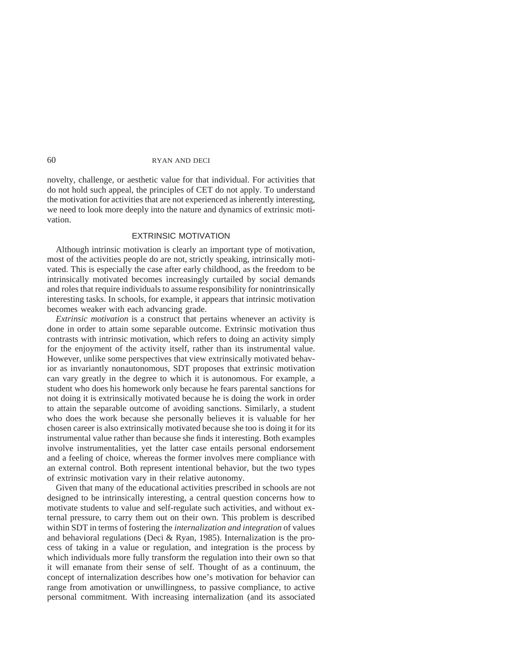novelty, challenge, or aesthetic value for that individual. For activities that do not hold such appeal, the principles of CET do not apply. To understand the motivation for activities that are not experienced as inherently interesting, we need to look more deeply into the nature and dynamics of extrinsic motivation.

# EXTRINSIC MOTIVATION

Although intrinsic motivation is clearly an important type of motivation, most of the activities people do are not, strictly speaking, intrinsically motivated. This is especially the case after early childhood, as the freedom to be intrinsically motivated becomes increasingly curtailed by social demands and roles that require individuals to assume responsibility for nonintrinsically interesting tasks. In schools, for example, it appears that intrinsic motivation becomes weaker with each advancing grade.

*Extrinsic motivation* is a construct that pertains whenever an activity is done in order to attain some separable outcome. Extrinsic motivation thus contrasts with intrinsic motivation, which refers to doing an activity simply for the enjoyment of the activity itself, rather than its instrumental value. However, unlike some perspectives that view extrinsically motivated behavior as invariantly nonautonomous, SDT proposes that extrinsic motivation can vary greatly in the degree to which it is autonomous. For example, a student who does his homework only because he fears parental sanctions for not doing it is extrinsically motivated because he is doing the work in order to attain the separable outcome of avoiding sanctions. Similarly, a student who does the work because she personally believes it is valuable for her chosen career is also extrinsically motivated because she too is doing it for its instrumental value rather than because she finds it interesting. Both examples involve instrumentalities, yet the latter case entails personal endorsement and a feeling of choice, whereas the former involves mere compliance with an external control. Both represent intentional behavior, but the two types of extrinsic motivation vary in their relative autonomy.

Given that many of the educational activities prescribed in schools are not designed to be intrinsically interesting, a central question concerns how to motivate students to value and self-regulate such activities, and without external pressure, to carry them out on their own. This problem is described within SDT in terms of fostering the *internalization and integration* of values and behavioral regulations (Deci & Ryan, 1985). Internalization is the process of taking in a value or regulation, and integration is the process by which individuals more fully transform the regulation into their own so that it will emanate from their sense of self. Thought of as a continuum, the concept of internalization describes how one's motivation for behavior can range from amotivation or unwillingness, to passive compliance, to active personal commitment. With increasing internalization (and its associated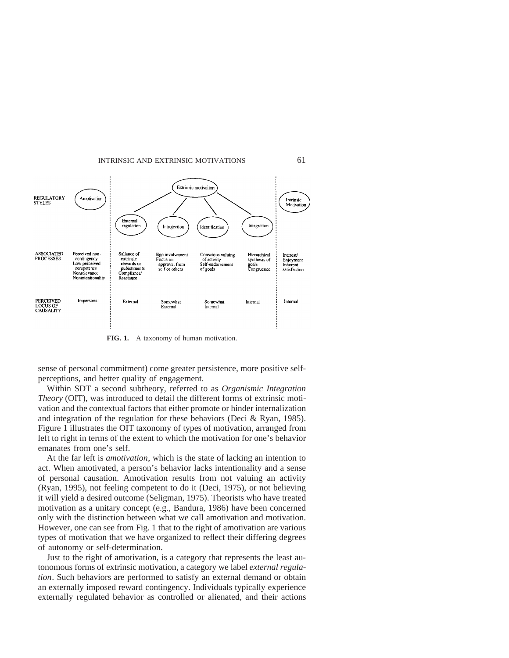

**FIG. 1.** A taxonomy of human motivation.

sense of personal commitment) come greater persistence, more positive selfperceptions, and better quality of engagement.

Within SDT a second subtheory, referred to as *Organismic Integration Theory* (OIT), was introduced to detail the different forms of extrinsic motivation and the contextual factors that either promote or hinder internalization and integration of the regulation for these behaviors (Deci & Ryan, 1985). Figure 1 illustrates the OIT taxonomy of types of motivation, arranged from left to right in terms of the extent to which the motivation for one's behavior emanates from one's self.

At the far left is *amotivation*, which is the state of lacking an intention to act. When amotivated, a person's behavior lacks intentionality and a sense of personal causation. Amotivation results from not valuing an activity (Ryan, 1995), not feeling competent to do it (Deci, 1975), or not believing it will yield a desired outcome (Seligman, 1975). Theorists who have treated motivation as a unitary concept (e.g., Bandura, 1986) have been concerned only with the distinction between what we call amotivation and motivation. However, one can see from Fig. 1 that to the right of amotivation are various types of motivation that we have organized to reflect their differing degrees of autonomy or self-determination.

Just to the right of amotivation, is a category that represents the least autonomous forms of extrinsic motivation, a category we label *external regulation*. Such behaviors are performed to satisfy an external demand or obtain an externally imposed reward contingency. Individuals typically experience externally regulated behavior as controlled or alienated, and their actions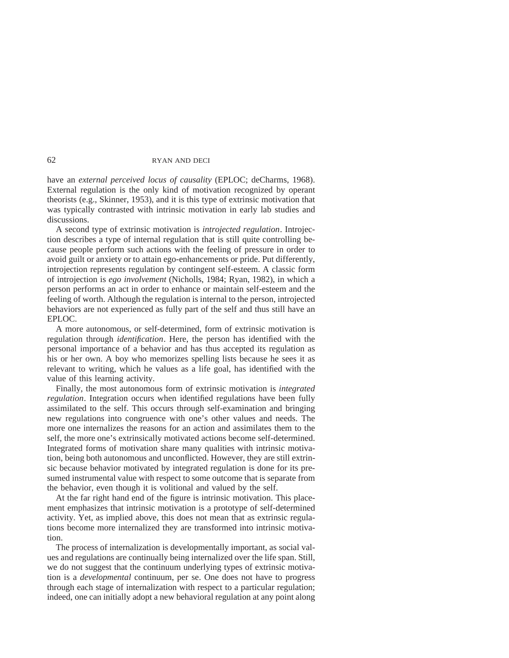have an *external perceived locus of causality* (EPLOC; deCharms, 1968). External regulation is the only kind of motivation recognized by operant theorists (e.g., Skinner, 1953), and it is this type of extrinsic motivation that was typically contrasted with intrinsic motivation in early lab studies and discussions.

A second type of extrinsic motivation is *introjected regulation*. Introjection describes a type of internal regulation that is still quite controlling because people perform such actions with the feeling of pressure in order to avoid guilt or anxiety or to attain ego-enhancements or pride. Put differently, introjection represents regulation by contingent self-esteem. A classic form of introjection is *ego involvement* (Nicholls, 1984; Ryan, 1982), in which a person performs an act in order to enhance or maintain self-esteem and the feeling of worth. Although the regulation is internal to the person, introjected behaviors are not experienced as fully part of the self and thus still have an EPLOC.

A more autonomous, or self-determined, form of extrinsic motivation is regulation through *identification*. Here, the person has identified with the personal importance of a behavior and has thus accepted its regulation as his or her own. A boy who memorizes spelling lists because he sees it as relevant to writing, which he values as a life goal, has identified with the value of this learning activity.

Finally, the most autonomous form of extrinsic motivation is *integrated regulation*. Integration occurs when identified regulations have been fully assimilated to the self. This occurs through self-examination and bringing new regulations into congruence with one's other values and needs. The more one internalizes the reasons for an action and assimilates them to the self, the more one's extrinsically motivated actions become self-determined. Integrated forms of motivation share many qualities with intrinsic motivation, being both autonomous and unconflicted. However, they are still extrinsic because behavior motivated by integrated regulation is done for its presumed instrumental value with respect to some outcome that is separate from the behavior, even though it is volitional and valued by the self.

At the far right hand end of the figure is intrinsic motivation. This placement emphasizes that intrinsic motivation is a prototype of self-determined activity. Yet, as implied above, this does not mean that as extrinsic regulations become more internalized they are transformed into intrinsic motivation.

The process of internalization is developmentally important, as social values and regulations are continually being internalized over the life span. Still, we do not suggest that the continuum underlying types of extrinsic motivation is a *developmental* continuum, per se. One does not have to progress through each stage of internalization with respect to a particular regulation; indeed, one can initially adopt a new behavioral regulation at any point along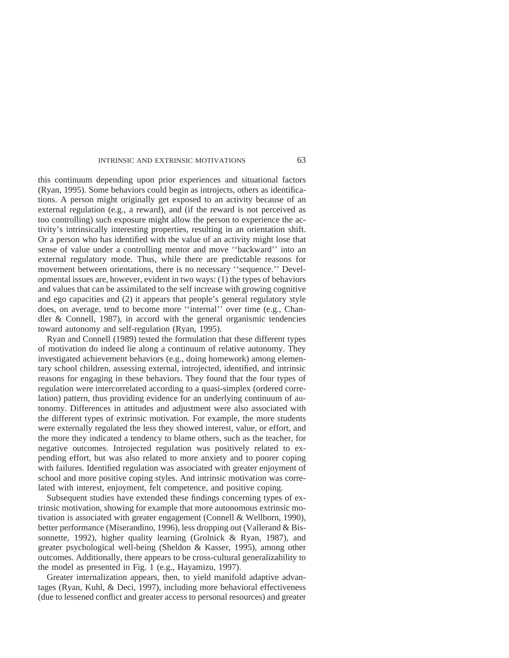this continuum depending upon prior experiences and situational factors (Ryan, 1995). Some behaviors could begin as introjects, others as identifications. A person might originally get exposed to an activity because of an external regulation (e.g., a reward), and (if the reward is not perceived as too controlling) such exposure might allow the person to experience the activity's intrinsically interesting properties, resulting in an orientation shift. Or a person who has identified with the value of an activity might lose that sense of value under a controlling mentor and move ''backward'' into an external regulatory mode. Thus, while there are predictable reasons for movement between orientations, there is no necessary ''sequence.'' Developmental issues are, however, evident in two ways: (1) the types of behaviors and values that can be assimilated to the self increase with growing cognitive and ego capacities and (2) it appears that people's general regulatory style does, on average, tend to become more ''internal'' over time (e.g., Chandler & Connell, 1987), in accord with the general organismic tendencies toward autonomy and self-regulation (Ryan, 1995).

Ryan and Connell (1989) tested the formulation that these different types of motivation do indeed lie along a continuum of relative autonomy. They investigated achievement behaviors (e.g., doing homework) among elementary school children, assessing external, introjected, identified, and intrinsic reasons for engaging in these behaviors. They found that the four types of regulation were intercorrelated according to a quasi-simplex (ordered correlation) pattern, thus providing evidence for an underlying continuum of autonomy. Differences in attitudes and adjustment were also associated with the different types of extrinsic motivation. For example, the more students were externally regulated the less they showed interest, value, or effort, and the more they indicated a tendency to blame others, such as the teacher, for negative outcomes. Introjected regulation was positively related to expending effort, but was also related to more anxiety and to poorer coping with failures. Identified regulation was associated with greater enjoyment of school and more positive coping styles. And intrinsic motivation was correlated with interest, enjoyment, felt competence, and positive coping.

Subsequent studies have extended these findings concerning types of extrinsic motivation, showing for example that more autonomous extrinsic motivation is associated with greater engagement (Connell & Wellborn, 1990), better performance (Miserandino, 1996), less dropping out (Vallerand & Bissonnette, 1992), higher quality learning (Grolnick & Ryan, 1987), and greater psychological well-being (Sheldon & Kasser, 1995), among other outcomes. Additionally, there appears to be cross-cultural generalizability to the model as presented in Fig. 1 (e.g., Hayamizu, 1997).

Greater internalization appears, then, to yield manifold adaptive advantages (Ryan, Kuhl, & Deci, 1997), including more behavioral effectiveness (due to lessened conflict and greater access to personal resources) and greater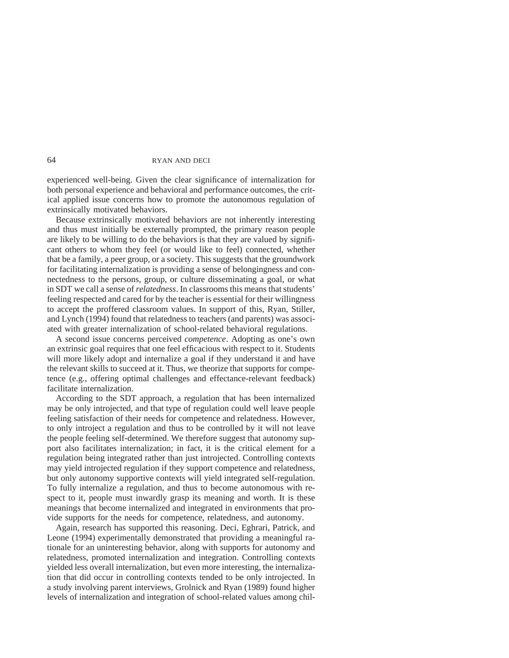experienced well-being. Given the clear significance of internalization for both personal experience and behavioral and performance outcomes, the critical applied issue concerns how to promote the autonomous regulation of extrinsically motivated behaviors.

Because extrinsically motivated behaviors are not inherently interesting and thus must initially be externally prompted, the primary reason people are likely to be willing to do the behaviors is that they are valued by significant others to whom they feel (or would like to feel) connected, whether that be a family, a peer group, or a society. This suggests that the groundwork for facilitating internalization is providing a sense of belongingness and connectedness to the persons, group, or culture disseminating a goal, or what in SDT we call a sense of *relatedness*. In classrooms this means that students' feeling respected and cared for by the teacher is essential for their willingness to accept the proffered classroom values. In support of this, Ryan, Stiller, and Lynch (1994) found that relatedness to teachers (and parents) was associated with greater internalization of school-related behavioral regulations.

A second issue concerns perceived *competence*. Adopting as one's own an extrinsic goal requires that one feel efficacious with respect to it. Students will more likely adopt and internalize a goal if they understand it and have the relevant skills to succeed at it. Thus, we theorize that supports for competence (e.g., offering optimal challenges and effectance-relevant feedback) facilitate internalization.

According to the SDT approach, a regulation that has been internalized may be only introjected, and that type of regulation could well leave people feeling satisfaction of their needs for competence and relatedness. However, to only introject a regulation and thus to be controlled by it will not leave the people feeling self-determined. We therefore suggest that autonomy support also facilitates internalization; in fact, it is the critical element for a regulation being integrated rather than just introjected. Controlling contexts may yield introjected regulation if they support competence and relatedness, but only autonomy supportive contexts will yield integrated self-regulation. To fully internalize a regulation, and thus to become autonomous with respect to it, people must inwardly grasp its meaning and worth. It is these meanings that become internalized and integrated in environments that provide supports for the needs for competence, relatedness, and autonomy.

Again, research has supported this reasoning. Deci, Eghrari, Patrick, and Leone (1994) experimentally demonstrated that providing a meaningful rationale for an uninteresting behavior, along with supports for autonomy and relatedness, promoted internalization and integration. Controlling contexts yielded less overall internalization, but even more interesting, the internalization that did occur in controlling contexts tended to be only introjected. In a study involving parent interviews, Grolnick and Ryan (1989) found higher levels of internalization and integration of school-related values among chil-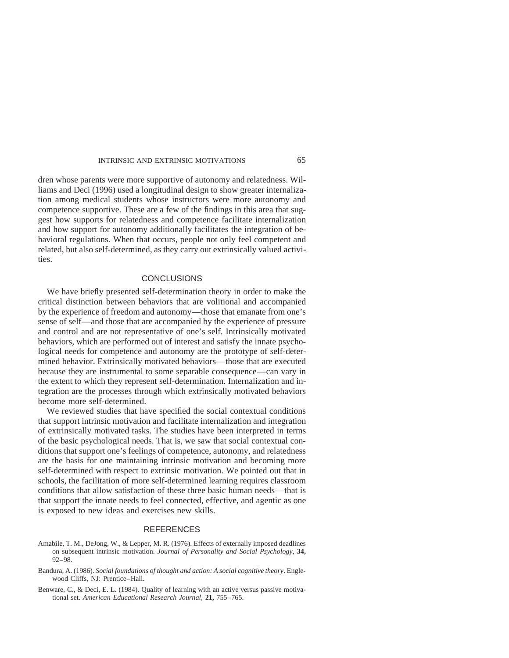dren whose parents were more supportive of autonomy and relatedness. Williams and Deci (1996) used a longitudinal design to show greater internalization among medical students whose instructors were more autonomy and competence supportive. These are a few of the findings in this area that suggest how supports for relatedness and competence facilitate internalization and how support for autonomy additionally facilitates the integration of behavioral regulations. When that occurs, people not only feel competent and related, but also self-determined, as they carry out extrinsically valued activities.

#### **CONCLUSIONS**

We have briefly presented self-determination theory in order to make the critical distinction between behaviors that are volitional and accompanied by the experience of freedom and autonomy—those that emanate from one's sense of self—and those that are accompanied by the experience of pressure and control and are not representative of one's self. Intrinsically motivated behaviors, which are performed out of interest and satisfy the innate psychological needs for competence and autonomy are the prototype of self-determined behavior. Extrinsically motivated behaviors—those that are executed because they are instrumental to some separable consequence—can vary in the extent to which they represent self-determination. Internalization and integration are the processes through which extrinsically motivated behaviors become more self-determined.

We reviewed studies that have specified the social contextual conditions that support intrinsic motivation and facilitate internalization and integration of extrinsically motivated tasks. The studies have been interpreted in terms of the basic psychological needs. That is, we saw that social contextual conditions that support one's feelings of competence, autonomy, and relatedness are the basis for one maintaining intrinsic motivation and becoming more self-determined with respect to extrinsic motivation. We pointed out that in schools, the facilitation of more self-determined learning requires classroom conditions that allow satisfaction of these three basic human needs—that is that support the innate needs to feel connected, effective, and agentic as one is exposed to new ideas and exercises new skills.

#### REFERENCES

- Amabile, T. M., DeJong, W., & Lepper, M. R. (1976). Effects of externally imposed deadlines on subsequent intrinsic motivation. *Journal of Personality and Social Psychology,* **34,** 92–98.
- Bandura, A. (1986). *Social foundations of thought and action: A social cognitive theory*. Englewood Cliffs, NJ: Prentice–Hall.
- Benware, C., & Deci, E. L. (1984). Quality of learning with an active versus passive motivational set. *American Educational Research Journal,* **21,** 755–765.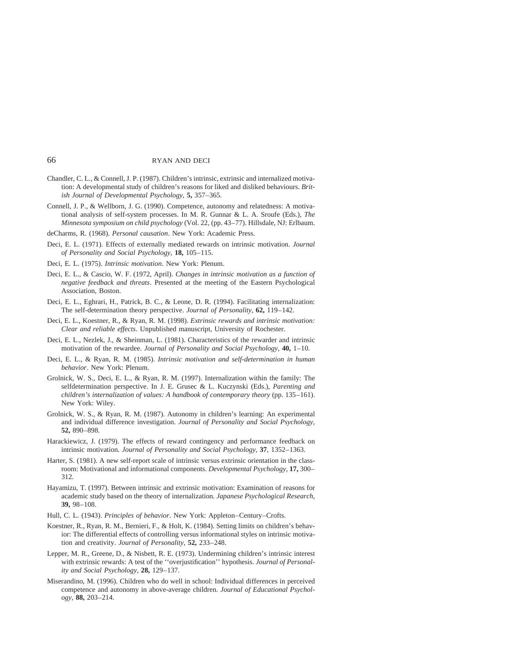- Chandler, C. L., & Connell, J. P. (1987). Children's intrinsic, extrinsic and internalized motivation: A developmental study of children's reasons for liked and disliked behaviours. *British Journal of Developmental Psychology,* **5,** 357–365.
- Connell, J. P., & Wellborn, J. G. (1990). Competence, autonomy and relatedness: A motivational analysis of self-system processes. In M. R. Gunnar & L. A. Sroufe (Eds.), *The Minnesota symposium on child psychology* (Vol. 22, (pp. 43–77). Hillsdale, NJ: Erlbaum.
- deCharms, R. (1968). *Personal causation*. New York: Academic Press.
- Deci, E. L. (1971). Effects of externally mediated rewards on intrinsic motivation. *Journal of Personality and Social Psychology,* **18,** 105–115.
- Deci, E. L. (1975). *Intrinsic motivation*. New York: Plenum.
- Deci, E. L., & Cascio, W. F. (1972, April). *Changes in intrinsic motivation as a function of negative feedback and threats*. Presented at the meeting of the Eastern Psychological Association, Boston.
- Deci, E. L., Eghrari, H., Patrick, B. C., & Leone, D. R. (1994). Facilitating internalization: The self-determination theory perspective. *Journal of Personality,* **62,** 119–142.
- Deci, E. L., Koestner, R., & Ryan, R. M. (1998). *Extrinsic rewards and intrinsic motivation: Clear and reliable effects*. Unpublished manuscript, University of Rochester.
- Deci, E. L., Nezlek, J., & Sheinman, L. (1981). Characteristics of the rewarder and intrinsic motivation of the rewardee. *Journal of Personality and Social Psychology,* **40,** 1–10.
- Deci, E. L., & Ryan, R. M. (1985). *Intrinsic motivation and self-determination in human behavior*. New York: Plenum.
- Grolnick, W. S., Deci, E. L., & Ryan, R. M. (1997). Internalization within the family: The selfdetermination perspective. In J. E. Grusec & L. Kuczynski (Eds.), *Parenting and children's internalization of values: A handbook of contemporary theory* (pp. 135–161). New York: Wiley.
- Grolnick, W. S., & Ryan, R. M. (1987). Autonomy in children's learning: An experimental and individual difference investigation. *Journal of Personality and Social Psychology,* **52,** 890–898.
- Harackiewicz, J. (1979). The effects of reward contingency and performance feedback on intrinsic motivation. *Journal of Personality and Social Psychology,* **37**, 1352–1363.
- Harter, S. (1981). A new self-report scale of intrinsic versus extrinsic orientation in the classroom: Motivational and informational components. *Developmental Psychology,* **17,** 300– 312.
- Hayamizu, T. (1997). Between intrinsic and extrinsic motivation: Examination of reasons for academic study based on the theory of internalization. *Japanese Psychological Research,* **39,** 98–108.
- Hull, C. L. (1943). *Principles of behavior*. New York: Appleton–Century–Crofts.
- Koestner, R., Ryan, R. M., Bernieri, F., & Holt, K. (1984). Setting limits on children's behavior: The differential effects of controlling versus informational styles on intrinsic motivation and creativity. *Journal of Personality,* **52,** 233–248.
- Lepper, M. R., Greene, D., & Nisbett, R. E. (1973). Undermining children's intrinsic interest with extrinsic rewards: A test of the ''overjustification'' hypothesis. *Journal of Personality and Social Psychology,* **28,** 129–137.
- Miserandino, M. (1996). Children who do well in school: Individual differences in perceived competence and autonomy in above-average children. *Journal of Educational Psychology,* **88,** 203–214.